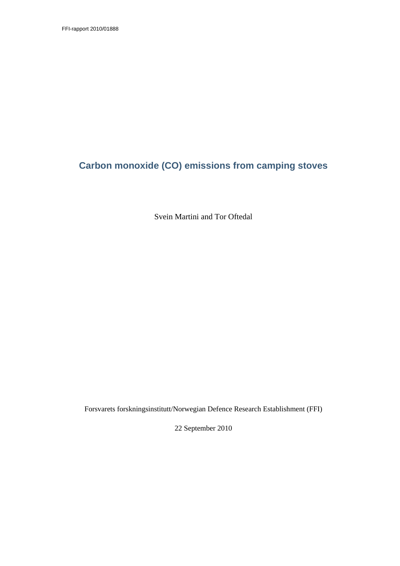# **Carbon monoxide (CO) emissions from camping stoves**

Svein Martini and Tor Oftedal

Forsvarets forskningsinstitutt/Norwegian Defence Research Establishment (FFI)

22 September 2010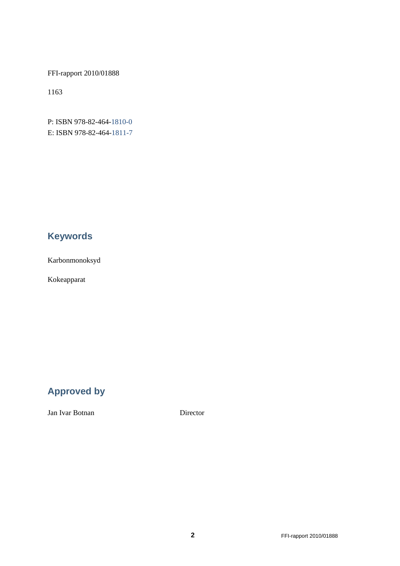FFI-rapport 2010/01888

1163

P: ISBN 978-82-464-1810-0 E: ISBN 978-82-464-1811-7

# **Keywords**

Karbonmonoksyd

Kokeapparat

# **Approved by**

Jan Ivar Botnan Director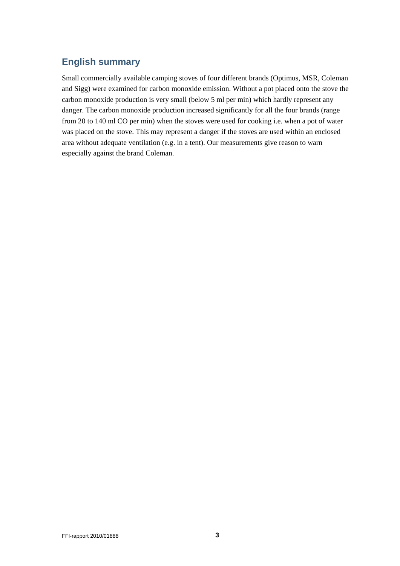# **English summary**

Small commercially available camping stoves of four different brands (Optimus, MSR, Coleman and Sigg) were examined for carbon monoxide emission. Without a pot placed onto the stove the carbon monoxide production is very small (below 5 ml per min) which hardly represent any danger. The carbon monoxide production increased significantly for all the four brands (range from 20 to 140 ml CO per min) when the stoves were used for cooking i.e. when a pot of water was placed on the stove. This may represent a danger if the stoves are used within an enclosed area without adequate ventilation (e.g. in a tent). Our measurements give reason to warn especially against the brand Coleman.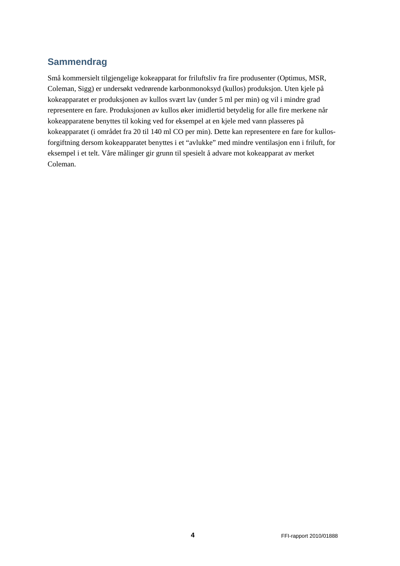# **Sammendrag**

Små kommersielt tilgjengelige kokeapparat for friluftsliv fra fire produsenter (Optimus, MSR, Coleman, Sigg) er undersøkt vedrørende karbonmonoksyd (kullos) produksjon. Uten kjele på kokeapparatet er produksjonen av kullos svært lav (under 5 ml per min) og vil i mindre grad representere en fare. Produksjonen av kullos øker imidlertid betydelig for alle fire merkene når kokeapparatene benyttes til koking ved for eksempel at en kjele med vann plasseres på kokeapparatet (i området fra 20 til 140 ml CO per min). Dette kan representere en fare for kullosforgiftning dersom kokeapparatet benyttes i et "avlukke" med mindre ventilasjon enn i friluft, for eksempel i et telt. Våre målinger gir grunn til spesielt å advare mot kokeapparat av merket Coleman.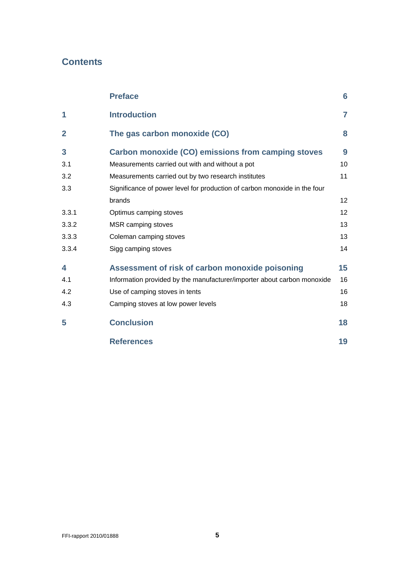# **Contents**

|                | <b>Preface</b>                                                            | 6                 |
|----------------|---------------------------------------------------------------------------|-------------------|
| 1              | <b>Introduction</b>                                                       | 7                 |
| $\overline{2}$ | The gas carbon monoxide (CO)                                              | 8                 |
| 3              | <b>Carbon monoxide (CO) emissions from camping stoves</b>                 | 9                 |
| 3.1            | Measurements carried out with and without a pot                           | 10                |
| 3.2            | Measurements carried out by two research institutes                       | 11                |
| 3.3            | Significance of power level for production of carbon monoxide in the four |                   |
|                | brands                                                                    | $12 \overline{ }$ |
| 3.3.1          | Optimus camping stoves                                                    | 12                |
| 3.3.2          | MSR camping stoves                                                        | 13                |
| 3.3.3          | Coleman camping stoves                                                    | 13                |
| 3.3.4          | Sigg camping stoves                                                       | 14                |
| 4              | Assessment of risk of carbon monoxide poisoning                           | 15                |
| 4.1            | Information provided by the manufacturer/importer about carbon monoxide   | 16                |
| 4.2            | Use of camping stoves in tents                                            | 16                |
| 4.3            | Camping stoves at low power levels                                        | 18                |
| 5              | <b>Conclusion</b>                                                         | 18                |
|                | <b>References</b>                                                         | 19                |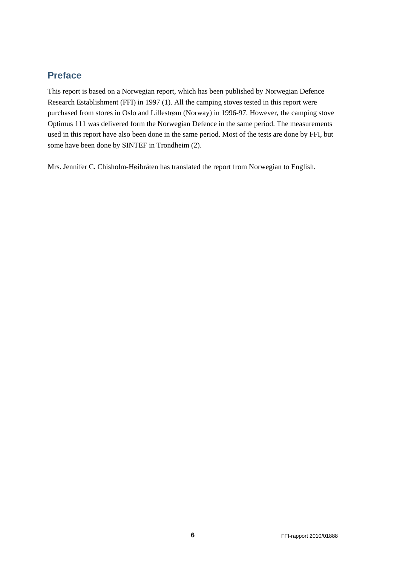# <span id="page-5-0"></span>**Preface**

This report is based on a Norwegian report, which has been published by Norwegian Defence Research Establishment (FFI) in 1997 (1). All the camping stoves tested in this report were purchased from stores in Oslo and Lillestrøm (Norway) in 1996-97. However, the camping stove Optimus 111 was delivered form the Norwegian Defence in the same period. The measurements used in this report have also been done in the same period. Most of the tests are done by FFI, but some have been done by SINTEF in Trondheim (2).

Mrs. Jennifer C. Chisholm-Høibråten has translated the report from Norwegian to English.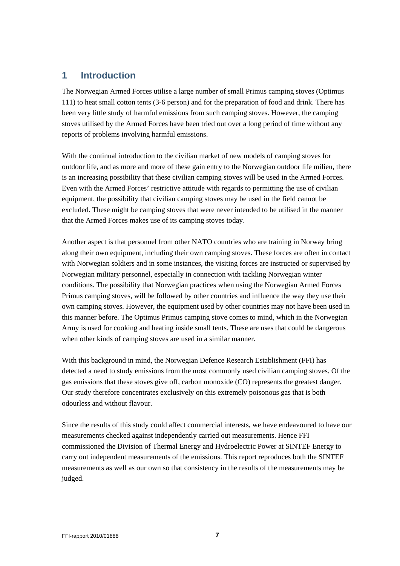## <span id="page-6-0"></span>**1 Introduction**

The Norwegian Armed Forces utilise a large number of small Primus camping stoves (Optimus 111) to heat small cotton tents (3-6 person) and for the preparation of food and drink. There has been very little study of harmful emissions from such camping stoves. However, the camping stoves utilised by the Armed Forces have been tried out over a long period of time without any reports of problems involving harmful emissions.

With the continual introduction to the civilian market of new models of camping stoves for outdoor life, and as more and more of these gain entry to the Norwegian outdoor life milieu, there is an increasing possibility that these civilian camping stoves will be used in the Armed Forces. Even with the Armed Forces' restrictive attitude with regards to permitting the use of civilian equipment, the possibility that civilian camping stoves may be used in the field cannot be excluded. These might be camping stoves that were never intended to be utilised in the manner that the Armed Forces makes use of its camping stoves today.

Another aspect is that personnel from other NATO countries who are training in Norway bring along their own equipment, including their own camping stoves. These forces are often in contact with Norwegian soldiers and in some instances, the visiting forces are instructed or supervised by Norwegian military personnel, especially in connection with tackling Norwegian winter conditions. The possibility that Norwegian practices when using the Norwegian Armed Forces Primus camping stoves, will be followed by other countries and influence the way they use their own camping stoves. However, the equipment used by other countries may not have been used in this manner before. The Optimus Primus camping stove comes to mind, which in the Norwegian Army is used for cooking and heating inside small tents. These are uses that could be dangerous when other kinds of camping stoves are used in a similar manner.

With this background in mind, the Norwegian Defence Research Establishment (FFI) has detected a need to study emissions from the most commonly used civilian camping stoves. Of the gas emissions that these stoves give off, carbon monoxide (CO) represents the greatest danger. Our study therefore concentrates exclusively on this extremely poisonous gas that is both odourless and without flavour.

Since the results of this study could affect commercial interests, we have endeavoured to have our measurements checked against independently carried out measurements. Hence FFI commissioned the Division of Thermal Energy and Hydroelectric Power at SINTEF Energy to carry out independent measurements of the emissions. This report reproduces both the SINTEF measurements as well as our own so that consistency in the results of the measurements may be judged.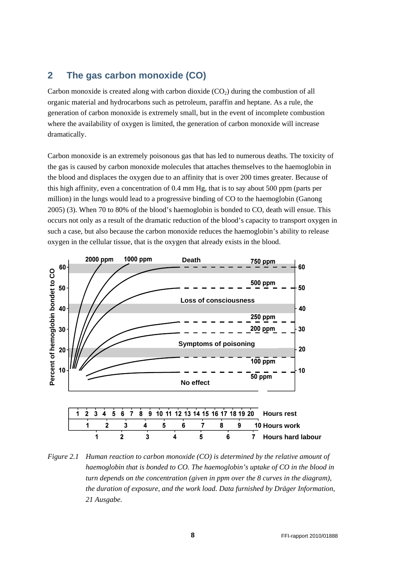## <span id="page-7-0"></span>**2 The gas carbon monoxide (CO)**

Carbon monoxide is created along with carbon dioxide  $(CO<sub>2</sub>)$  during the combustion of all organic material and hydrocarbons such as petroleum, paraffin and heptane. As a rule, the generation of carbon monoxide is extremely small, but in the event of incomplete combustion where the availability of oxygen is limited, the generation of carbon monoxide will increase dramatically.

Carbon monoxide is an extremely poisonous gas that has led to numerous deaths. The toxicity of the gas is caused by carbon monoxide molecules that attaches themselves to the haemoglobin in the blood and displaces the oxygen due to an affinity that is over 200 times greater. Because of this high affinity, even a concentration of 0.4 mm Hg, that is to say about 500 ppm (parts per million) in the lungs would lead to a progressive binding of CO to the haemoglobin (Ganong 2005) (3). When 70 to 80% of the blood's haemoglobin is bonded to CO, death will ensue. This occurs not only as a result of the dramatic reduction of the blood's capacity to transport oxygen in such a case, but also because the carbon monoxide reduces the haemoglobin's ability to release oxygen in the cellular tissue, that is the oxygen that already exists in the blood.



Figure 2.1 Human reaction to carbon monoxide (CO) is determined by the relative amount of haemoglobin that is bonded to CO. The haemoglobin's uptake of CO in the blood in turn depends on the concentration (given in ppm over the 8 curves in the diagram), the duration of exposure, and the work load. Data furnished by Dräger Information, *21 Ausgabe.*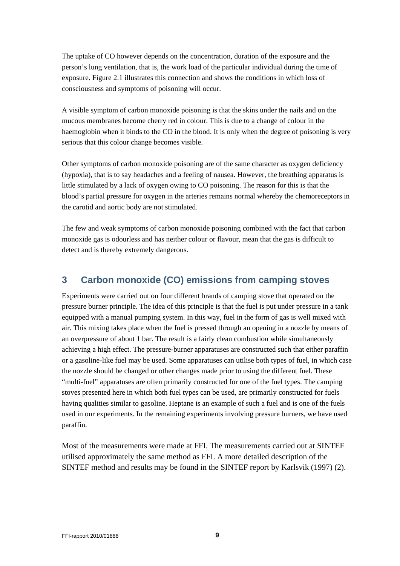The uptake of CO however depends on the concentration, duration of the exposure and the person's lung ventilation, that is, the work load of the particular individual during the time of exposure. Figure 2.1 illustrates this connection and shows the conditions in which loss of consciousness and symptoms of poisoning will occur.

A visible symptom of carbon monoxide poisoning is that the skins under the nails and on the mucous membranes become cherry red in colour. This is due to a change of colour in the haemoglobin when it binds to the CO in the blood. It is only when the degree of poisoning is very serious that this colour change becomes visible.

Other symptoms of carbon monoxide poisoning are of the same character as oxygen deficiency (hypoxia), that is to say headaches and a feeling of nausea. However, the breathing apparatus is little stimulated by a lack of oxygen owing to CO poisoning. The reason for this is that the blood's partial pressure for oxygen in the arteries remains normal whereby the chemoreceptors in the carotid and aortic body are not stimulated.

The few and weak symptoms of carbon monoxide poisoning combined with the fact that carbon monoxide gas is odourless and has neither colour or flavour, mean that the gas is difficult to detect and is thereby extremely dangerous.

## <span id="page-8-0"></span>**3 Carbon monoxide (CO) emissions from camping stoves**

Experiments were carried out on four different brands of camping stove that operated on the pressure burner principle. The idea of this principle is that the fuel is put under pressure in a tank equipped with a manual pumping system. In this way, fuel in the form of gas is well mixed with air. This mixing takes place when the fuel is pressed through an opening in a nozzle by means of an overpressure of about 1 bar. The result is a fairly clean combustion while simultaneously achieving a high effect. The pressure-burner apparatuses are constructed such that either paraffin or a gasoline-like fuel may be used. Some apparatuses can utilise both types of fuel, in which case the nozzle should be changed or other changes made prior to using the different fuel. These "multi-fuel" apparatuses are often primarily constructed for one of the fuel types. The camping stoves presented here in which both fuel types can be used, are primarily constructed for fuels having qualities similar to gasoline. Heptane is an example of such a fuel and is one of the fuels used in our experiments. In the remaining experiments involving pressure burners, we have used paraffin.

Most of the measurements were made at FFI. The measurements carried out at SINTEF utilised approximately the same method as FFI. A more detailed description of the SINTEF method and results may be found in the SINTEF report by Karlsvik (1997) (2).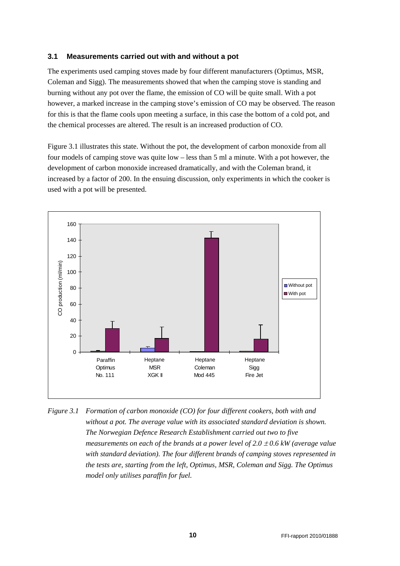### <span id="page-9-0"></span>**3.1 Measurements carried out with and without a pot**

The experiments used camping stoves made by four different manufacturers (Optimus, MSR, Coleman and Sigg). The measurements showed that when the camping stove is standing and burning without any pot over the flame, the emission of CO will be quite small. With a pot however, a marked increase in the camping stove's emission of CO may be observed. The reason for this is that the flame cools upon meeting a surface, in this case the bottom of a cold pot, and the chemical processes are altered. The result is an increased production of CO.

Figure 3.1 illustrates this state. Without the pot, the development of carbon monoxide from all four models of camping stove was quite low – less than 5 ml a minute. With a pot however, the development of carbon monoxide increased dramatically, and with the Coleman brand, it increased by a factor of 200. In the ensuing discussion, only experiments in which the cooker is used with a pot will be presented.



*Figure 3.1 Formation of carbon monoxide (CO) for four different cookers, both with and without a pot. The average value with its associated standard deviation is shown. The Norwegian Defence Research Establishment carried out two to five measurements on each of the brands at a power level of 2.0*  $\pm$  *0.6 kW (average value with standard deviation). The four different brands of camping stoves represented in the tests are, starting from the left, Optimus, MSR, Coleman and Sigg. The Optimus model only utilises paraffin for fuel.*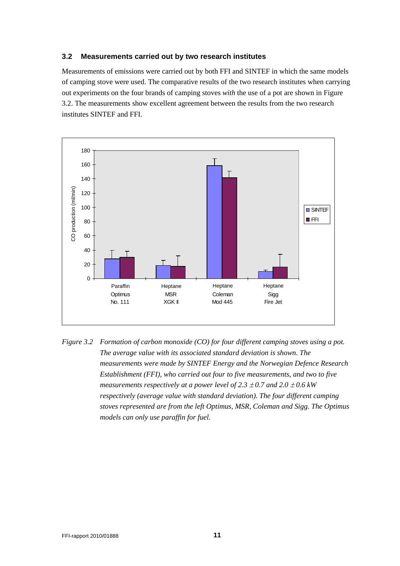#### <span id="page-10-0"></span>**3.2 Measurements carried out by two research institutes**

Measurements of emissions were carried out by both FFI and SINTEF in which the same models of camping stove were used. The comparative results of the two research institutes when carrying out experiments on the four brands of camping stoves *with* the use of a pot are shown in Figure 3.2. The measurements show excellent agreement between the results from the two research institutes SINTEF and FFI.



Figure 3.2 Formation of carbon monoxide (CO) for four different camping stoves using a pot. *The average value with its associated standard deviation is shown. The measurements were made by SINTEF Energy and the Norwegian Defence Research*  Establishment (FFI), who carried out four to five measurements, and two to five *measurements respectively at a power level of 2.3*  $\pm$  *0.7 and 2.0*  $\pm$  *0.6 kW* respectively (average value with standard deviation). The four different camping stoves represented are from the left Optimus, MSR, Coleman and Sigg. The Optimus *models can only use paraffin for fuel.*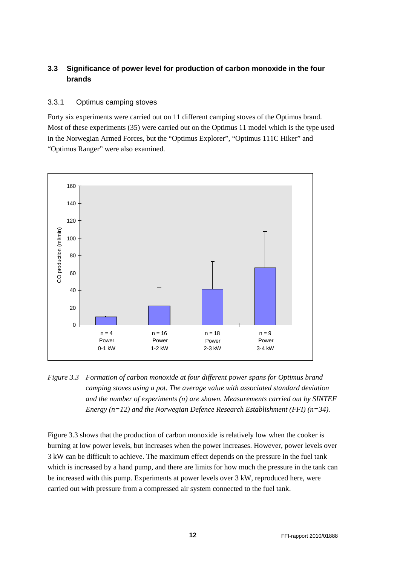## <span id="page-11-0"></span>**3.3 Significance of power level for production of carbon monoxide in the four brands**

## <span id="page-11-1"></span>3.3.1 Optimus camping stoves

Forty six experiments were carried out on 11 different camping stoves of the Optimus brand. Most of these experiments (35) were carried out on the Optimus 11 model which is the type used in the Norwegian Armed Forces, but the "Optimus Explorer", "Optimus 111C Hiker" and "Optimus Ranger" were also examined.



Figure 3.3 Formation of carbon monoxide at four different power spans for Optimus brand *camping stoves using a pot. The average value with associated standard deviation and the number of experiments (n) are shown. Measurements carried out by SINTEF Energy (n=12) and the Norwegian Defence Research Establishment (FFI) (n=34).*

Figure 3.3 shows that the production of carbon monoxide is relatively low when the cooker is burning at low power levels, but increases when the power increases. However, power levels over 3 kW can be difficult to achieve. The maximum effect depends on the pressure in the fuel tank which is increased by a hand pump, and there are limits for how much the pressure in the tank can be increased with this pump. Experiments at power levels over 3 kW, reproduced here, were carried out with pressure from a compressed air system connected to the fuel tank.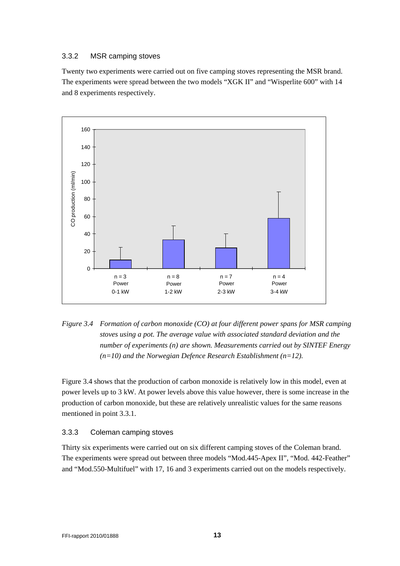### <span id="page-12-0"></span>3.3.2 MSR camping stoves

Twenty two experiments were carried out on five camping stoves representing the MSR brand. The experiments were spread between the two models "XGK II" and "Wisperlite 600" with 14 and 8 experiments respectively.



*Figure 3.4 Formation of carbon monoxide (CO) at four different power spans for MSR camping*  stoves using a pot. The average value with associated standard deviation and the *number of experiments (n) are shown. Measurements carried out by SINTEF Energy (n=10) and the Norwegian Defence Research Establishment (n=12).* 

Figure 3.4 shows that the production of carbon monoxide is relatively low in this model, even at power levels up to 3 kW. At power levels above this value however, there is some increase in the production of carbon monoxide, but these are relatively unrealistic values for the same reasons mentioned in point 3.3.1.

## <span id="page-12-1"></span>3.3.3 Coleman camping stoves

Thirty six experiments were carried out on six different camping stoves of the Coleman brand. The experiments were spread out between three models "Mod.445-Apex II", "Mod. 442-Feather" and "Mod.550-Multifuel" with 17, 16 and 3 experiments carried out on the models respectively.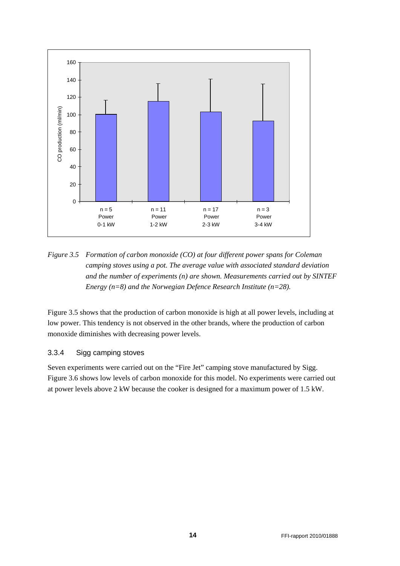

Figure 3.5 Formation of carbon monoxide (CO) at four different power spans for Coleman *camping stoves using a pot. The average value with associated standard deviation and the number of experiments (n) are shown. Measurements carried out by SINTEF Energy (n=8) and the Norwegian Defence Research Institute (n=28).* 

Figure 3.5 shows that the production of carbon monoxide is high at all power levels, including at low power. This tendency is not observed in the other brands, where the production of carbon monoxide diminishes with decreasing power levels.

## <span id="page-13-0"></span>3.3.4 Sigg camping stoves

Seven experiments were carried out on the "Fire Jet" camping stove manufactured by Sigg. Figure 3.6 shows low levels of carbon monoxide for this model. No experiments were carried out at power levels above 2 kW because the cooker is designed for a maximum power of 1.5 kW.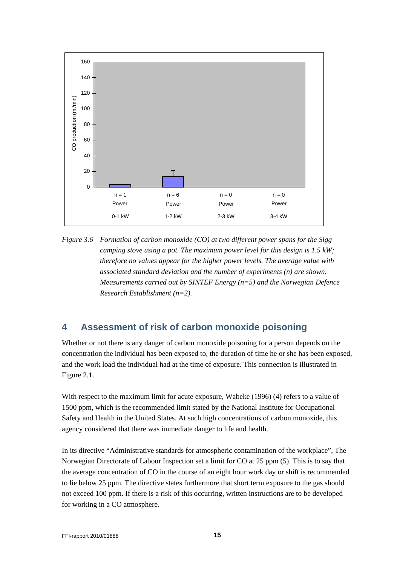

*Figure 3.6 Formation of carbon monoxide (CO) at two different power spans for the Sigg camping stove using a pot. The maximum power level for this design is 1.5 kW; therefore no values appear for the higher power levels. The average value with associated standard deviation and the number of experiments (n) are shown. Measurements carried out by SINTEF Energy (n=5) and the Norwegian Defence Research Establishment (n=2).*

# <span id="page-14-0"></span>**4 Assessment of risk of carbon monoxide poisoning**

Whether or not there is any danger of carbon monoxide poisoning for a person depends on the concentration the individual has been exposed to, the duration of time he or she has been exposed, and the work load the individual had at the time of exposure. This connection is illustrated in Figure 2.1.

With respect to the maximum limit for acute exposure, Wabeke (1996) (4) refers to a value of 1500 ppm, which is the recommended limit stated by the National Institute for Occupational Safety and Health in the United States. At such high concentrations of carbon monoxide, this agency considered that there was immediate danger to life and health.

In its directive "Administrative standards for atmospheric contamination of the workplace", The Norwegian Directorate of Labour Inspection set a limit for CO at 25 ppm (5). This is to say that the average concentration of CO in the course of an eight hour work day or shift is recommended to lie below 25 ppm. The directive states furthermore that short term exposure to the gas should not exceed 100 ppm. If there is a risk of this occurring, written instructions are to be developed for working in a CO atmosphere.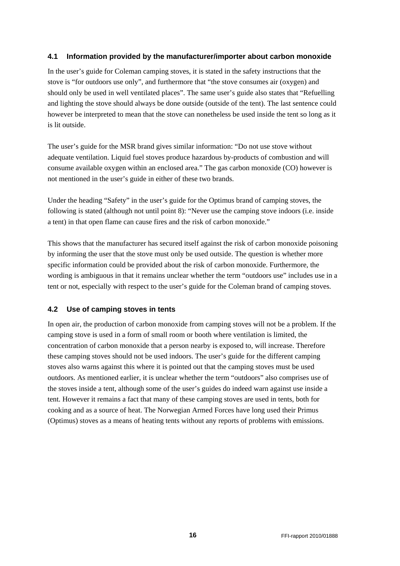### <span id="page-15-0"></span>**4.1 Information provided by the manufacturer/importer about carbon monoxide**

In the user's guide for Coleman camping stoves, it is stated in the safety instructions that the stove is "for outdoors use only", and furthermore that "the stove consumes air (oxygen) and should only be used in well ventilated places". The same user's guide also states that "Refuelling and lighting the stove should always be done outside (outside of the tent). The last sentence could however be interpreted to mean that the stove can nonetheless be used inside the tent so long as it is lit outside.

The user's guide for the MSR brand gives similar information: "Do not use stove without adequate ventilation. Liquid fuel stoves produce hazardous by-products of combustion and will consume available oxygen within an enclosed area." The gas carbon monoxide (CO) however is not mentioned in the user's guide in either of these two brands.

Under the heading "Safety" in the user's guide for the Optimus brand of camping stoves, the following is stated (although not until point 8): "Never use the camping stove indoors (i.e. inside a tent) in that open flame can cause fires and the risk of carbon monoxide."

This shows that the manufacturer has secured itself against the risk of carbon monoxide poisoning by informing the user that the stove must only be used outside. The question is whether more specific information could be provided about the risk of carbon monoxide. Furthermore, the wording is ambiguous in that it remains unclear whether the term "outdoors use" includes use in a tent or not, especially with respect to the user's guide for the Coleman brand of camping stoves.

## <span id="page-15-1"></span>**4.2 Use of camping stoves in tents**

In open air, the production of carbon monoxide from camping stoves will not be a problem. If the camping stove is used in a form of small room or booth where ventilation is limited, the concentration of carbon monoxide that a person nearby is exposed to, will increase. Therefore these camping stoves should not be used indoors. The user's guide for the different camping stoves also warns against this where it is pointed out that the camping stoves must be used outdoors. As mentioned earlier, it is unclear whether the term "outdoors" also comprises use of the stoves inside a tent, although some of the user's guides do indeed warn against use inside a tent. However it remains a fact that many of these camping stoves are used in tents, both for cooking and as a source of heat. The Norwegian Armed Forces have long used their Primus (Optimus) stoves as a means of heating tents without any reports of problems with emissions.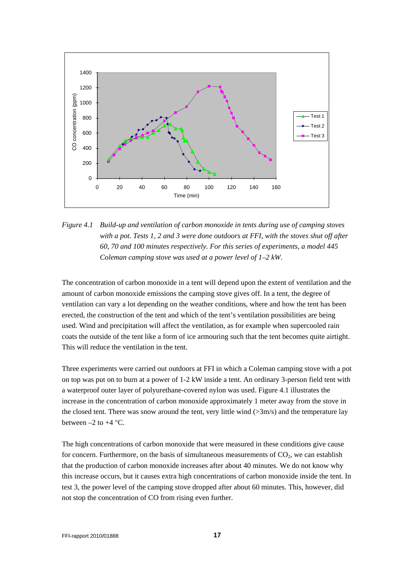

*Figure 4.1 Build-up and ventilation of carbon monoxide in tents during use of camping stoves with a pot. Tests 1, 2 and 3 were done outdoors at FFI, with the stoves shut off after 60, 70 and 100 minutes respectively. For this series of experiments, a model 445 Coleman camping stove was used at a power level of 1–2 kW.*

The concentration of carbon monoxide in a tent will depend upon the extent of ventilation and the amount of carbon monoxide emissions the camping stove gives off. In a tent, the degree of ventilation can vary a lot depending on the weather conditions, where and how the tent has been erected, the construction of the tent and which of the tent's ventilation possibilities are being used. Wind and precipitation will affect the ventilation, as for example when supercooled rain coats the outside of the tent like a form of ice armouring such that the tent becomes quite airtight. This will reduce the ventilation in the tent.

Three experiments were carried out outdoors at FFI in which a Coleman camping stove with a pot on top was put on to burn at a power of 1-2 kW inside a tent. An ordinary 3-person field tent with a waterproof outer layer of polyurethane-covered nylon was used. Figure 4.1 illustrates the increase in the concentration of carbon monoxide approximately 1 meter away from the stove in the closed tent. There was snow around the tent, very little wind  $(>\frac{3m}{s})$  and the temperature lay between  $-2$  to  $+4$  °C.

The high concentrations of carbon monoxide that were measured in these conditions give cause for concern. Furthermore, on the basis of simultaneous measurements of  $CO<sub>2</sub>$ , we can establish that the production of carbon monoxide increases after about 40 minutes. We do not know why this increase occurs, but it causes extra high concentrations of carbon monoxide inside the tent. In test 3, the power level of the camping stove dropped after about 60 minutes. This, however, did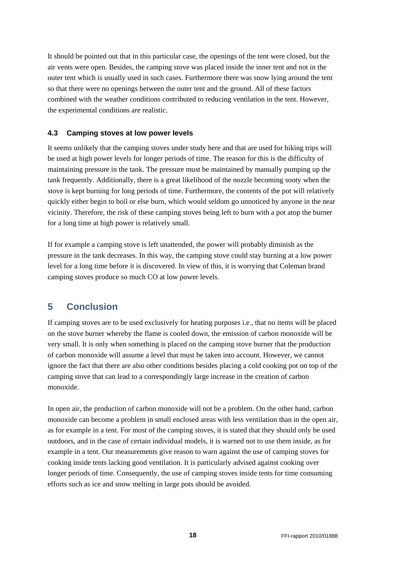It should be pointed out that in this particular case, the openings of the tent were closed, but the air vents were open. Besides, the camping stove was placed inside the inner tent and not in the outer tent which is usually used in such cases. Furthermore there was snow lying around the tent so that there were no openings between the outer tent and the ground. All of these factors combined with the weather conditions contributed to reducing ventilation in the tent. However, the experimental conditions are realistic.

### <span id="page-17-0"></span>**4.3 Camping stoves at low power levels**

It seems unlikely that the camping stoves under study here and that are used for hiking trips will be used at high power levels for longer periods of time. The reason for this is the difficulty of maintaining pressure in the tank. The pressure must be maintained by manually pumping up the tank frequently. Additionally, there is a great likelihood of the nozzle becoming sooty when the stove is kept burning for long periods of time. Furthermore, the contents of the pot will relatively quickly either begin to boil or else burn, which would seldom go unnoticed by anyone in the near vicinity. Therefore, the risk of these camping stoves being left to burn with a pot atop the burner for a long time at high power is relatively small.

If for example a camping stove is left unattended, the power will probably diminish as the pressure in the tank decreases. In this way, the camping stove could stay burning at a low power level for a long time before it is discovered. In view of this, it is worrying that Coleman brand camping stoves produce so much CO at low power levels.

# <span id="page-17-1"></span>**5 Conclusion**

If camping stoves are to be used exclusively for heating purposes i.e., that no items will be placed on the stove burner whereby the flame is cooled down, the emission of carbon monoxide will be very small. It is only when something is placed on the camping stove burner that the production of carbon monoxide will assume a level that must be taken into account. However, we cannot ignore the fact that there are also other conditions besides placing a cold cooking pot on top of the camping stove that can lead to a correspondingly large increase in the creation of carbon monoxide.

In open air, the production of carbon monoxide will not be a problem. On the other hand, carbon monoxide can become a problem in small enclosed areas with less ventilation than in the open air, as for example in a tent. For most of the camping stoves, it is stated that they should only be used outdoors, and in the case of certain individual models, it is warned not to use them inside, as for example in a tent. Our measurements give reason to warn against the use of camping stoves for cooking inside tents lacking good ventilation. It is particularly advised against cooking over longer periods of time. Consequently, the use of camping stoves inside tents for time consuming efforts such as ice and snow melting in large pots should be avoided.